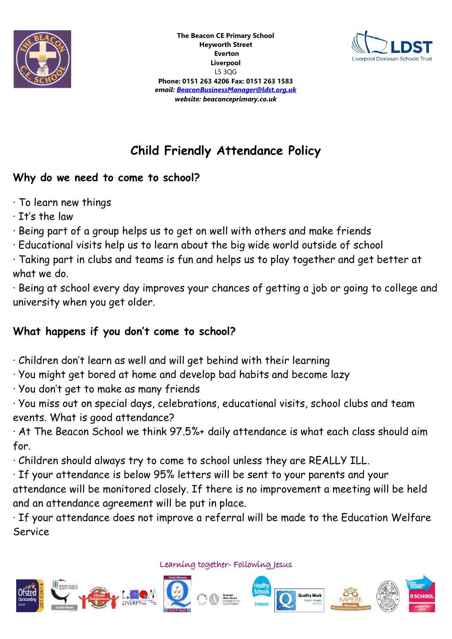



# **Child Friendly Attendance Policy**

### **Why do we need to come to school?**

- · To learn new things
- · It's the law
- · Being part of a group helps us to get on well with others and make friends
- · Educational visits help us to learn about the big wide world outside of school

· Taking part in clubs and teams is fun and helps us to play together and get better at what we do.

· Being at school every day improves your chances of getting a job or going to college and university when you get older.

## **What happens if you don't come to school?**

- · Children don't learn as well and will get behind with their learning
- · You might get bored at home and develop bad habits and become lazy
- · You don't get to make as many friends

· You miss out on special days, celebrations, educational visits, school clubs and team events. What is good attendance?

· At The Beacon School we think 97.5%+ daily attendance is what each class should aim for.

· Children should always try to come to school unless they are REALLY ILL.

· If your attendance is below 95% letters will be sent to your parents and your

attendance will be monitored closely. If there is no improvement a meeting will be held and an attendance agreement will be put in place.

· If your attendance does not improve a referral will be made to the Education Welfare Service